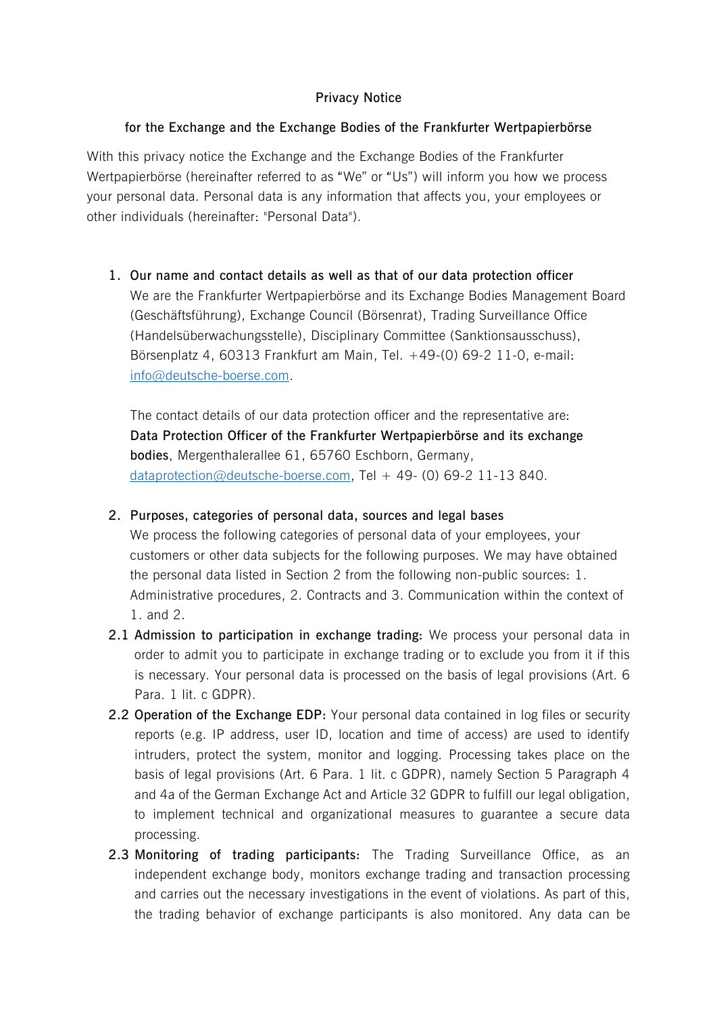# **Privacy Notice**

# **for the Exchange and the Exchange Bodies of the Frankfurter Wertpapierbörse**

With this privacy notice the Exchange and the Exchange Bodies of the Frankfurter Wertpapierbörse (hereinafter referred to as "We" or "Us") will inform you how we process your personal data. Personal data is any information that affects you, your employees or other individuals (hereinafter: "Personal Data").

**1. Our name and contact details as well as that of our data protection officer** We are the Frankfurter Wertpapierbörse and its Exchange Bodies Management Board (Geschäftsführung), Exchange Council (Börsenrat), Trading Surveillance Office (Handelsüberwachungsstelle), Disciplinary Committee (Sanktionsausschuss), Börsenplatz 4, 60313 Frankfurt am Main, Tel. +49-(0) 69-2 11-0, e-mail: [info@deutsche-boerse.com.](mailto:info@deutsche-boerse.com)

The contact details of our data protection officer and the representative are: **Data Protection Officer of the Frankfurter Wertpapierbörse and its exchange bodies**, Mergenthalerallee 61, 65760 Eschborn, Germany, [dataprotection@deutsche-boerse.com,](mailto:dataprotection@deutsche-boerse.com) Tel + 49- (0) 69-2 11-13 840.

**2. Purposes, categories of personal data, sources and legal bases**

We process the following categories of personal data of your employees, your customers or other data subjects for the following purposes. We may have obtained the personal data listed in Section 2 from the following non-public sources: 1. Administrative procedures, 2. Contracts and 3. Communication within the context of 1. and 2.

- **2.1 Admission to participation in exchange trading:** We process your personal data in order to admit you to participate in exchange trading or to exclude you from it if this is necessary. Your personal data is processed on the basis of legal provisions (Art. 6 Para. 1 lit. c GDPR).
- **2.2 Operation of the Exchange EDP:** Your personal data contained in log files or security reports (e.g. IP address, user ID, location and time of access) are used to identify intruders, protect the system, monitor and logging. Processing takes place on the basis of legal provisions (Art. 6 Para. 1 lit. c GDPR), namely Section 5 Paragraph 4 and 4a of the German Exchange Act and Article 32 GDPR to fulfill our legal obligation, to implement technical and organizational measures to guarantee a secure data processing.
- **2.3 Monitoring of trading participants:** The Trading Surveillance Office, as an independent exchange body, monitors exchange trading and transaction processing and carries out the necessary investigations in the event of violations. As part of this, the trading behavior of exchange participants is also monitored. Any data can be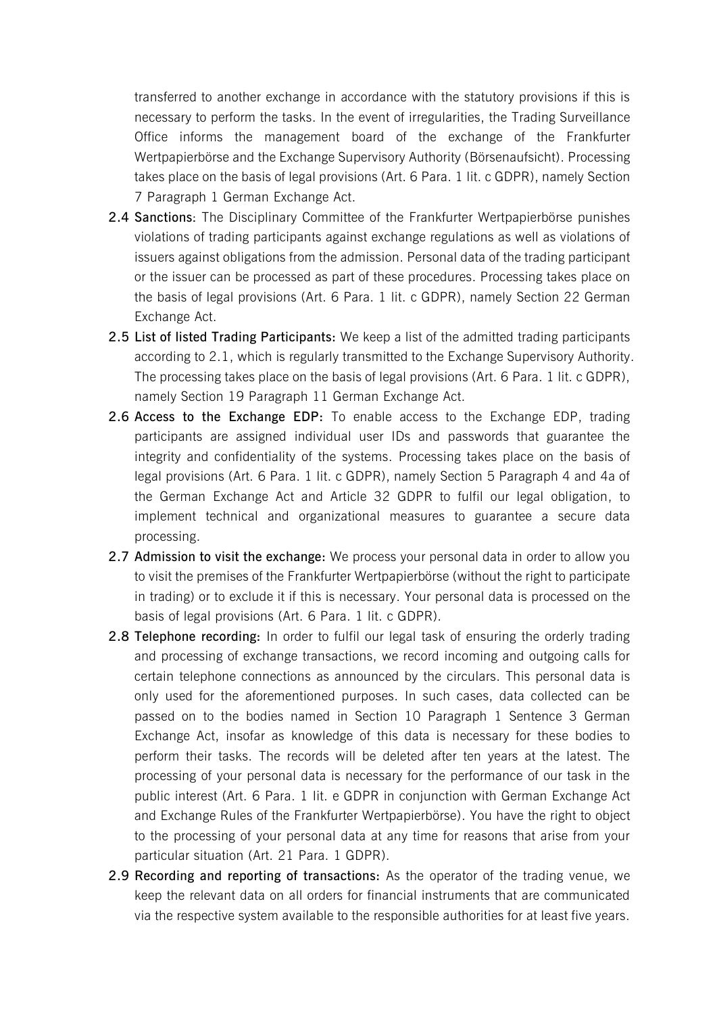transferred to another exchange in accordance with the statutory provisions if this is necessary to perform the tasks. In the event of irregularities, the Trading Surveillance Office informs the management board of the exchange of the Frankfurter Wertpapierbörse and the Exchange Supervisory Authority (Börsenaufsicht). Processing takes place on the basis of legal provisions (Art. 6 Para. 1 lit. c GDPR), namely Section 7 Paragraph 1 German Exchange Act.

- **2.4 Sanctions**: The Disciplinary Committee of the Frankfurter Wertpapierbörse punishes violations of trading participants against exchange regulations as well as violations of issuers against obligations from the admission. Personal data of the trading participant or the issuer can be processed as part of these procedures. Processing takes place on the basis of legal provisions (Art. 6 Para. 1 lit. c GDPR), namely Section 22 German Exchange Act.
- **2.5 List of listed Trading Participants:** We keep a list of the admitted trading participants according to 2.1, which is regularly transmitted to the Exchange Supervisory Authority. The processing takes place on the basis of legal provisions (Art. 6 Para. 1 lit. c GDPR), namely Section 19 Paragraph 11 German Exchange Act.
- **2.6 Access to the Exchange EDP:** To enable access to the Exchange EDP, trading participants are assigned individual user IDs and passwords that guarantee the integrity and confidentiality of the systems. Processing takes place on the basis of legal provisions (Art. 6 Para. 1 lit. c GDPR), namely Section 5 Paragraph 4 and 4a of the German Exchange Act and Article 32 GDPR to fulfil our legal obligation, to implement technical and organizational measures to guarantee a secure data processing.
- **2.7 Admission to visit the exchange:** We process your personal data in order to allow you to visit the premises of the Frankfurter Wertpapierbörse (without the right to participate in trading) or to exclude it if this is necessary. Your personal data is processed on the basis of legal provisions (Art. 6 Para. 1 lit. c GDPR).
- **2.8 Telephone recording:** In order to fulfil our legal task of ensuring the orderly trading and processing of exchange transactions, we record incoming and outgoing calls for certain telephone connections as announced by the circulars. This personal data is only used for the aforementioned purposes. In such cases, data collected can be passed on to the bodies named in Section 10 Paragraph 1 Sentence 3 German Exchange Act, insofar as knowledge of this data is necessary for these bodies to perform their tasks. The records will be deleted after ten years at the latest. The processing of your personal data is necessary for the performance of our task in the public interest (Art. 6 Para. 1 lit. e GDPR in conjunction with German Exchange Act and Exchange Rules of the Frankfurter Wertpapierbörse). You have the right to object to the processing of your personal data at any time for reasons that arise from your particular situation (Art. 21 Para. 1 GDPR).
- **2.9 Recording and reporting of transactions:** As the operator of the trading venue, we keep the relevant data on all orders for financial instruments that are communicated via the respective system available to the responsible authorities for at least five years.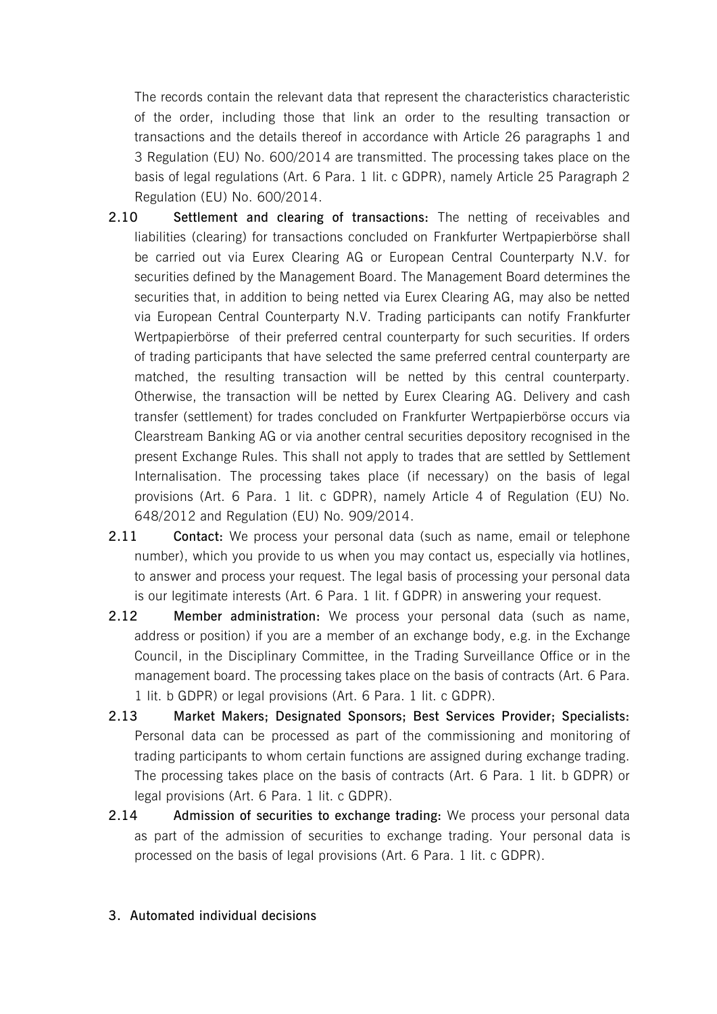The records contain the relevant data that represent the characteristics characteristic of the order, including those that link an order to the resulting transaction or transactions and the details thereof in accordance with Article 26 paragraphs 1 and 3 Regulation (EU) No. 600/2014 are transmitted. The processing takes place on the basis of legal regulations (Art. 6 Para. 1 lit. c GDPR), namely Article 25 Paragraph 2 Regulation (EU) No. 600/2014.

- **2.10 Settlement and clearing of transactions:** The netting of receivables and liabilities (clearing) for transactions concluded on Frankfurter Wertpapierbörse shall be carried out via Eurex Clearing AG or European Central Counterparty N.V. for securities defined by the Management Board. The Management Board determines the securities that, in addition to being netted via Eurex Clearing AG, may also be netted via European Central Counterparty N.V. Trading participants can notify Frankfurter Wertpapierbörse of their preferred central counterparty for such securities. If orders of trading participants that have selected the same preferred central counterparty are matched, the resulting transaction will be netted by this central counterparty. Otherwise, the transaction will be netted by Eurex Clearing AG. Delivery and cash transfer (settlement) for trades concluded on Frankfurter Wertpapierbörse occurs via Clearstream Banking AG or via another central securities depository recognised in the present Exchange Rules. This shall not apply to trades that are settled by Settlement Internalisation. The processing takes place (if necessary) on the basis of legal provisions (Art. 6 Para. 1 lit. c GDPR), namely Article 4 of Regulation (EU) No. 648/2012 and Regulation (EU) No. 909/2014.
- **2.11 Contact:** We process your personal data (such as name, email or telephone number), which you provide to us when you may contact us, especially via hotlines, to answer and process your request. The legal basis of processing your personal data is our legitimate interests (Art. 6 Para. 1 lit. f GDPR) in answering your request.
- **2.12 Member administration:** We process your personal data (such as name, address or position) if you are a member of an exchange body, e.g. in the Exchange Council, in the Disciplinary Committee, in the Trading Surveillance Office or in the management board. The processing takes place on the basis of contracts (Art. 6 Para. 1 lit. b GDPR) or legal provisions (Art. 6 Para. 1 lit. c GDPR).
- **2.13 Market Makers; Designated Sponsors; Best Services Provider; Specialists:** Personal data can be processed as part of the commissioning and monitoring of trading participants to whom certain functions are assigned during exchange trading. The processing takes place on the basis of contracts (Art. 6 Para. 1 lit. b GDPR) or legal provisions (Art. 6 Para. 1 lit. c GDPR).
- **2.14 Admission of securities to exchange trading:** We process your personal data as part of the admission of securities to exchange trading. Your personal data is processed on the basis of legal provisions (Art. 6 Para. 1 lit. c GDPR).

### **3. Automated individual decisions**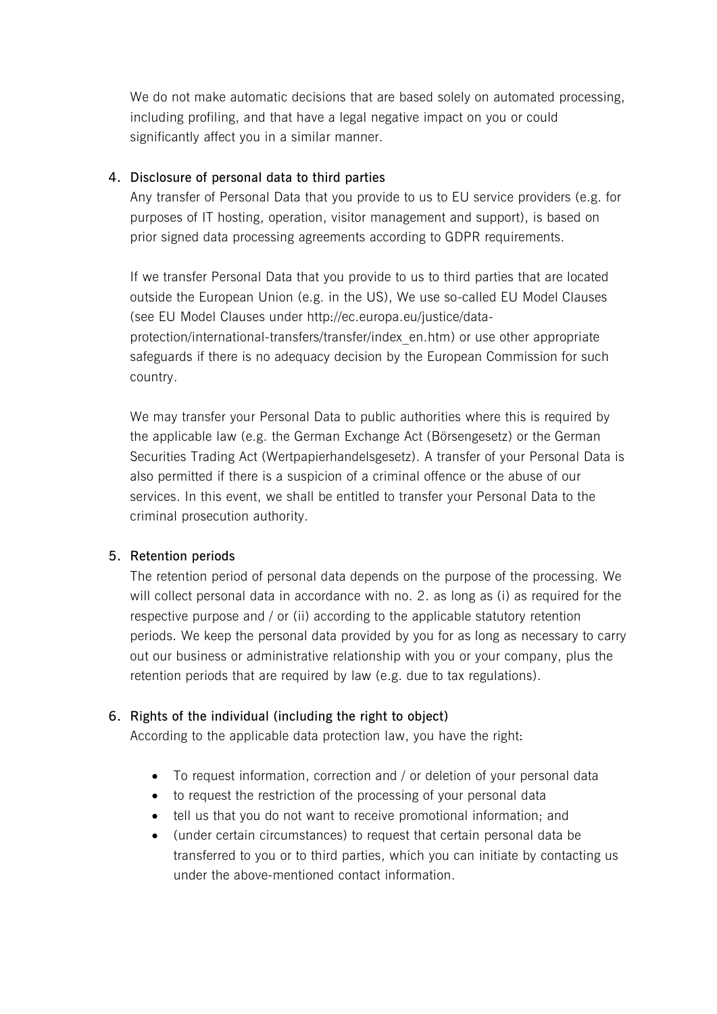We do not make automatic decisions that are based solely on automated processing, including profiling, and that have a legal negative impact on you or could significantly affect you in a similar manner.

# **4. Disclosure of personal data to third parties**

Any transfer of Personal Data that you provide to us to EU service providers (e.g. for purposes of IT hosting, operation, visitor management and support), is based on prior signed data processing agreements according to GDPR requirements.

If we transfer Personal Data that you provide to us to third parties that are located outside the European Union (e.g. in the US), We use so-called EU Model Clauses (see EU Model Clauses under http://ec.europa.eu/justice/dataprotection/international-transfers/transfer/index\_en.htm) or use other appropriate safeguards if there is no adequacy decision by the European Commission for such country.

We may transfer your Personal Data to public authorities where this is required by the applicable law (e.g. the German Exchange Act (Börsengesetz) or the German Securities Trading Act (Wertpapierhandelsgesetz). A transfer of your Personal Data is also permitted if there is a suspicion of a criminal offence or the abuse of our services. In this event, we shall be entitled to transfer your Personal Data to the criminal prosecution authority.

# **5. Retention periods**

The retention period of personal data depends on the purpose of the processing. We will collect personal data in accordance with no. 2. as long as (i) as required for the respective purpose and / or (ii) according to the applicable statutory retention periods. We keep the personal data provided by you for as long as necessary to carry out our business or administrative relationship with you or your company, plus the retention periods that are required by law (e.g. due to tax regulations).

# **6. Rights of the individual (including the right to object)**

According to the applicable data protection law, you have the right:

- To request information, correction and / or deletion of your personal data
- to request the restriction of the processing of your personal data
- tell us that you do not want to receive promotional information; and
- (under certain circumstances) to request that certain personal data be transferred to you or to third parties, which you can initiate by contacting us under the above-mentioned contact information.